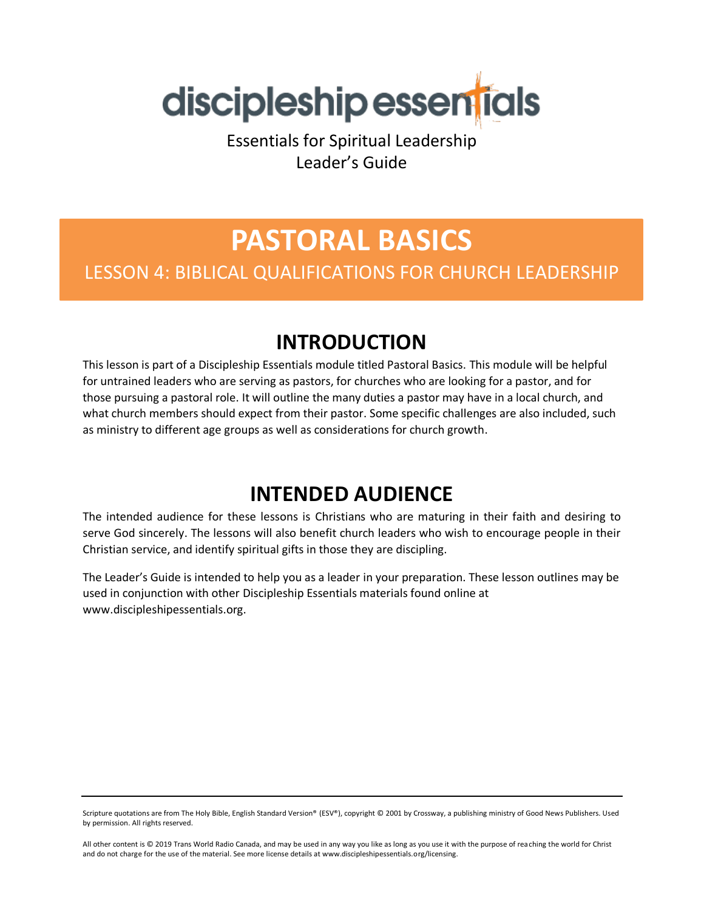

Essentials for Spiritual Leadership Leader's Guide

# **PASTORAL BASICS** LESSON 4: BIBLICAL QUALIFICATIONS FOR CHURCH LEADERSHIP

## **INTRODUCTION**

This lesson is part of a Discipleship Essentials module titled Pastoral Basics. This module will be helpful for untrained leaders who are serving as pastors, for churches who are looking for a pastor, and for those pursuing a pastoral role. It will outline the many duties a pastor may have in a local church, and what church members should expect from their pastor. Some specific challenges are also included, such as ministry to different age groups as well as considerations for church growth.

## **INTENDED AUDIENCE**

The intended audience for these lessons is Christians who are maturing in their faith and desiring to serve God sincerely. The lessons will also benefit church leaders who wish to encourage people in their Christian service, and identify spiritual gifts in those they are discipling.

The Leader's Guide is intended to help you as a leader in your preparation. These lesson outlines may be used in conjunction with other Discipleship Essentials materials found online at www.discipleshipessentials.org.

Scripture quotations are from The Holy Bible, English Standard Version® (ESV®), copyright © 2001 by Crossway, a publishing ministry of Good News Publishers. Used by permission. All rights reserved.

All other content is © 2019 Trans World Radio Canada, and may be used in any way you like as long as you use it with the purpose of reaching the world for Christ and do not charge for the use of the material. See more license details at www.discipleshipessentials.org/licensing.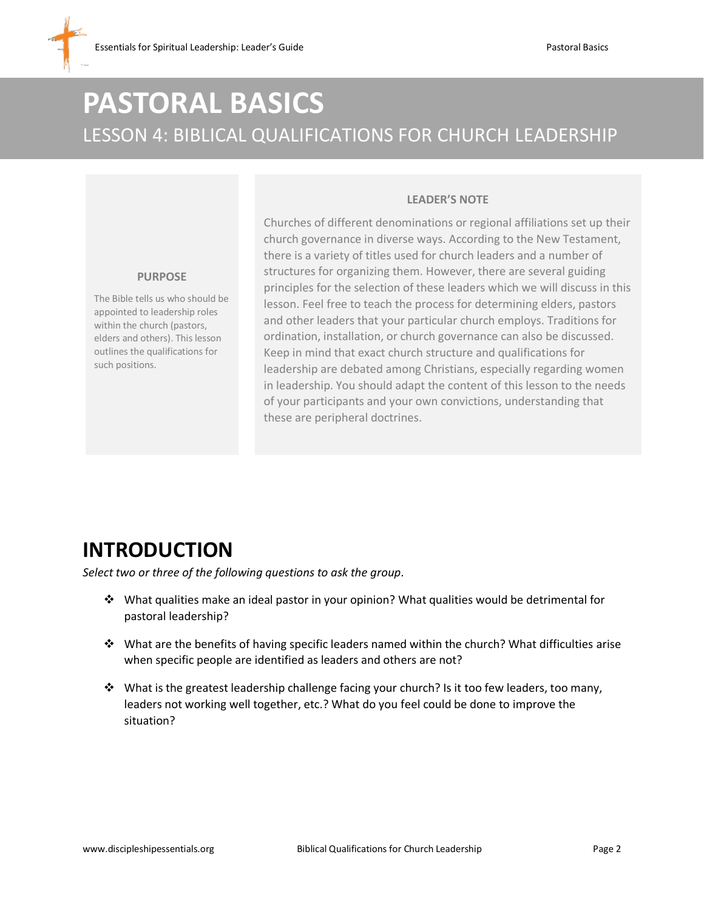## **PASTORAL BASICS** LESSON 4: BIBLICAL QUALIFICATIONS FOR CHURCH LEADERSHIP

#### **LEADER'S NOTE**

Churches of different denominations or regional affiliations set up their church governance in diverse ways. According to the New Testament, there is a variety of titles used for church leaders and a number of structures for organizing them. However, there are several guiding principles for the selection of these leaders which we will discuss in this lesson. Feel free to teach the process for determining elders, pastors and other leaders that your particular church employs. Traditions for ordination, installation, or church governance can also be discussed. Keep in mind that exact church structure and qualifications for leadership are debated among Christians, especially regarding women in leadership. You should adapt the content of this lesson to the needs of your participants and your own convictions, understanding that these are peripheral doctrines.

# **INTRODUCTION**

**PURPOSE** The Bible tells us who should be appointed to leadership roles within the church (pastors, elders and others). This lesson outlines the qualifications for

such positions.

*Select two or three of the following questions to ask the group.*

- ❖ What qualities make an ideal pastor in your opinion? What qualities would be detrimental for pastoral leadership?
- ❖ What are the benefits of having specific leaders named within the church? What difficulties arise when specific people are identified as leaders and others are not?
- ❖ What is the greatest leadership challenge facing your church? Is it too few leaders, too many, leaders not working well together, etc.? What do you feel could be done to improve the situation?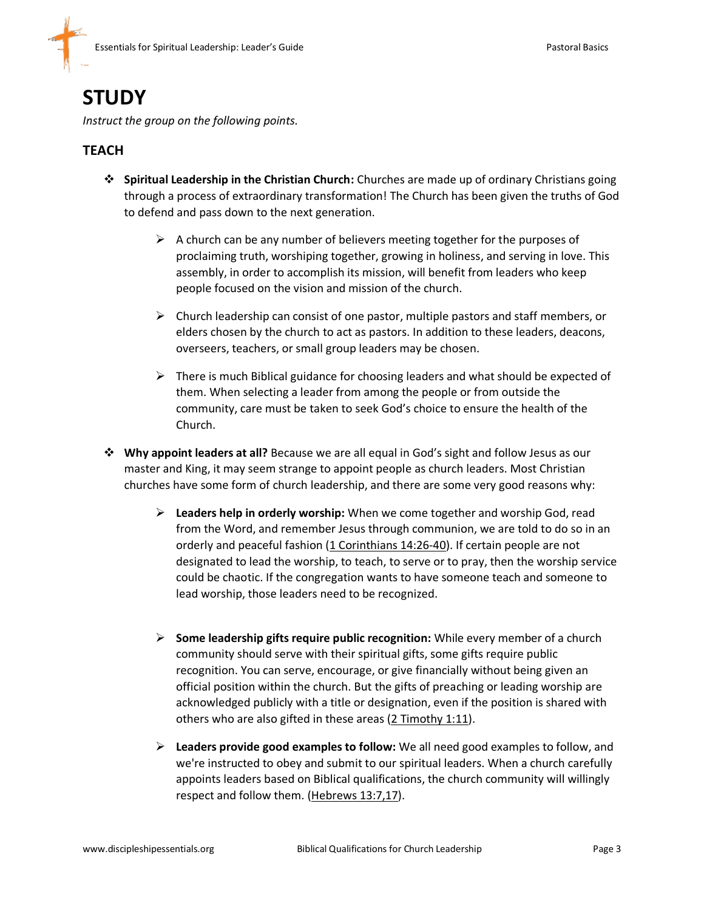### **STUDY**

*Instruct the group on the following points.*

#### **TEACH**

- ❖ **Spiritual Leadership in the Christian Church:** Churches are made up of ordinary Christians going through a process of extraordinary transformation! The Church has been given the truths of God to defend and pass down to the next generation.
	- $\triangleright$  A church can be any number of believers meeting together for the purposes of proclaiming truth, worshiping together, growing in holiness, and serving in love. This assembly, in order to accomplish its mission, will benefit from leaders who keep people focused on the vision and mission of the church.
	- $\triangleright$  Church leadership can consist of one pastor, multiple pastors and staff members, or elders chosen by the church to act as pastors. In addition to these leaders, deacons, overseers, teachers, or small group leaders may be chosen.
	- $\triangleright$  There is much Biblical guidance for choosing leaders and what should be expected of them. When selecting a leader from among the people or from outside the community, care must be taken to seek God's choice to ensure the health of the Church.
- ❖ **Why appoint leaders at all?** Because we are all equal in God's sight and follow Jesus as our master and King, it may seem strange to appoint people as church leaders. Most Christian churches have some form of church leadership, and there are some very good reasons why:
	- ➢ **Leaders help in orderly worship:** When we come together and worship God, read from the Word, and remember Jesus through communion, we are told to do so in an orderly and peaceful fashion (1 Corinthians 14:26-40). If certain people are not designated to lead the worship, to teach, to serve or to pray, then the worship service could be chaotic. If the congregation wants to have someone teach and someone to lead worship, those leaders need to be recognized.
	- ➢ **Some leadership gifts require public recognition:** While every member of a church community should serve with their spiritual gifts, some gifts require public recognition. You can serve, encourage, or give financially without being given an official position within the church. But the gifts of preaching or leading worship are acknowledged publicly with a title or designation, even if the position is shared with others who are also gifted in these areas (2 Timothy 1:11).
	- ➢ **Leaders provide good examples to follow:** We all need good examples to follow, and we're instructed to obey and submit to our spiritual leaders. When a church carefully appoints leaders based on Biblical qualifications, the church community will willingly respect and follow them. (Hebrews 13:7,17).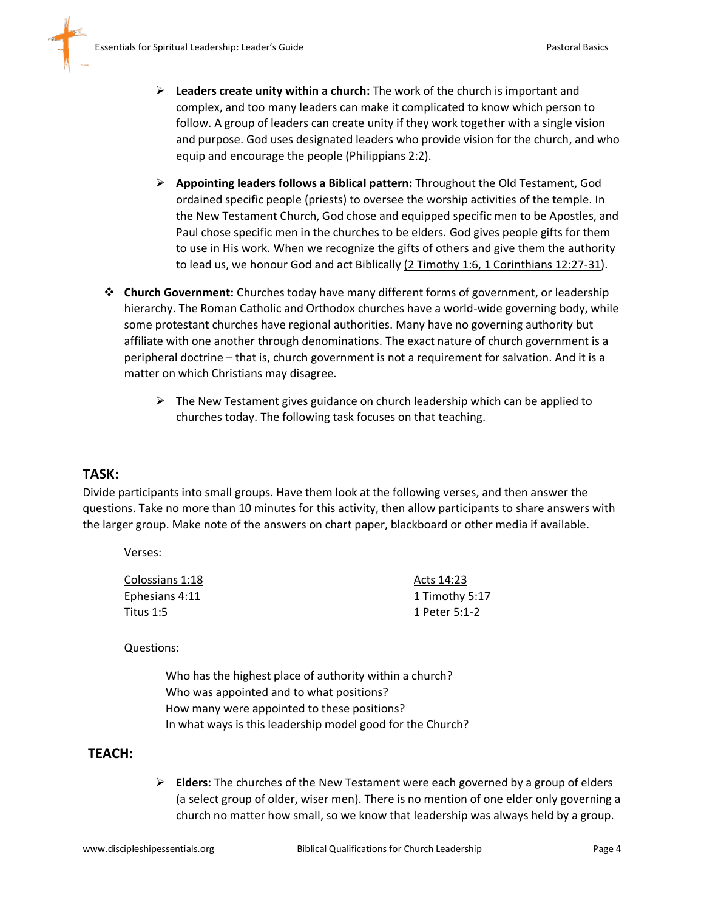- ➢ **Leaders create unity within a church:** The work of the church is important and complex, and too many leaders can make it complicated to know which person to follow. A group of leaders can create unity if they work together with a single vision and purpose. God uses designated leaders who provide vision for the church, and who equip and encourage the people (Philippians 2:2).
- ➢ **Appointing leaders follows a Biblical pattern:** Throughout the Old Testament, God ordained specific people (priests) to oversee the worship activities of the temple. In the New Testament Church, God chose and equipped specific men to be Apostles, and Paul chose specific men in the churches to be elders. God gives people gifts for them to use in His work. When we recognize the gifts of others and give them the authority to lead us, we honour God and act Biblically (2 Timothy 1:6, 1 Corinthians 12:27-31).
- ❖ **Church Government:** Churches today have many different forms of government, or leadership hierarchy. The Roman Catholic and Orthodox churches have a world-wide governing body, while some protestant churches have regional authorities. Many have no governing authority but affiliate with one another through denominations. The exact nature of church government is a peripheral doctrine – that is, church government is not a requirement for salvation. And it is a matter on which Christians may disagree.
	- $\triangleright$  The New Testament gives guidance on church leadership which can be applied to churches today. The following task focuses on that teaching.

#### **TASK:**

Divide participants into small groups. Have them look at the following verses, and then answer the questions. Take no more than 10 minutes for this activity, then allow participants to share answers with the larger group. Make note of the answers on chart paper, blackboard or other media if available.

Verses:

| Colossians 1:18 | Acts 14:23     |
|-----------------|----------------|
| Ephesians 4:11  | 1 Timothy 5:17 |
| Titus 1:5       | 1 Peter 5:1-2  |

Questions:

Who has the highest place of authority within a church? Who was appointed and to what positions? How many were appointed to these positions? In what ways is this leadership model good for the Church?

#### **TEACH:**

➢ **Elders:** The churches of the New Testament were each governed by a group of elders (a select group of older, wiser men). There is no mention of one elder only governing a church no matter how small, so we know that leadership was always held by a group.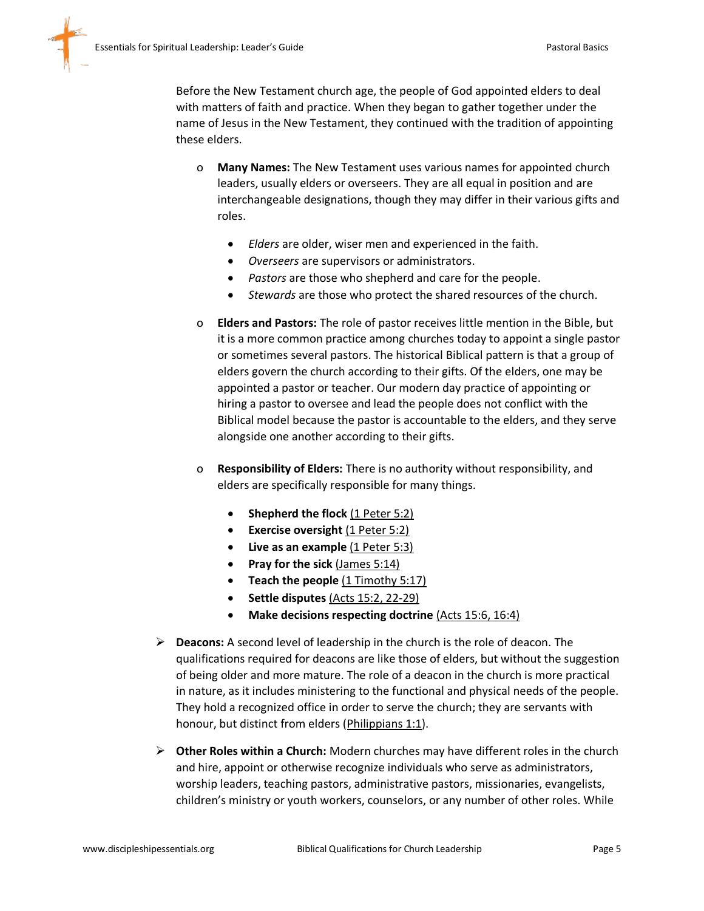Before the New Testament church age, the people of God appointed elders to deal with matters of faith and practice. When they began to gather together under the name of Jesus in the New Testament, they continued with the tradition of appointing these elders.

- o **Many Names:** The New Testament uses various names for appointed church leaders, usually elders or overseers. They are all equal in position and are interchangeable designations, though they may differ in their various gifts and roles.
	- *Elders* are older, wiser men and experienced in the faith.
	- *Overseers* are supervisors or administrators.
	- *Pastors* are those who shepherd and care for the people.
	- *Stewards* are those who protect the shared resources of the church.
- o **Elders and Pastors:** The role of pastor receives little mention in the Bible, but it is a more common practice among churches today to appoint a single pastor or sometimes several pastors. The historical Biblical pattern is that a group of elders govern the church according to their gifts. Of the elders, one may be appointed a pastor or teacher. Our modern day practice of appointing or hiring a pastor to oversee and lead the people does not conflict with the Biblical model because the pastor is accountable to the elders, and they serve alongside one another according to their gifts.
- o **Responsibility of Elders:** There is no authority without responsibility, and elders are specifically responsible for many things.
	- **Shepherd the flock (1 Peter 5:2)**
	- **Exercise oversight** (1 Peter 5:2)
	- **Live as an example** (1 Peter 5:3)
	- **Pray for the sick** (James 5:14)
	- **Teach the people** (1 Timothy 5:17)
	- **Settle disputes** (Acts 15:2, 22-29)
	- **Make decisions respecting doctrine** (Acts 15:6, 16:4)
- ➢ **Deacons:** A second level of leadership in the church is the role of deacon. The qualifications required for deacons are like those of elders, but without the suggestion of being older and more mature. The role of a deacon in the church is more practical in nature, as it includes ministering to the functional and physical needs of the people. They hold a recognized office in order to serve the church; they are servants with honour, but distinct from elders (Philippians 1:1).
- ➢ **Other Roles within a Church:** Modern churches may have different roles in the church and hire, appoint or otherwise recognize individuals who serve as administrators, worship leaders, teaching pastors, administrative pastors, missionaries, evangelists, children's ministry or youth workers, counselors, or any number of other roles. While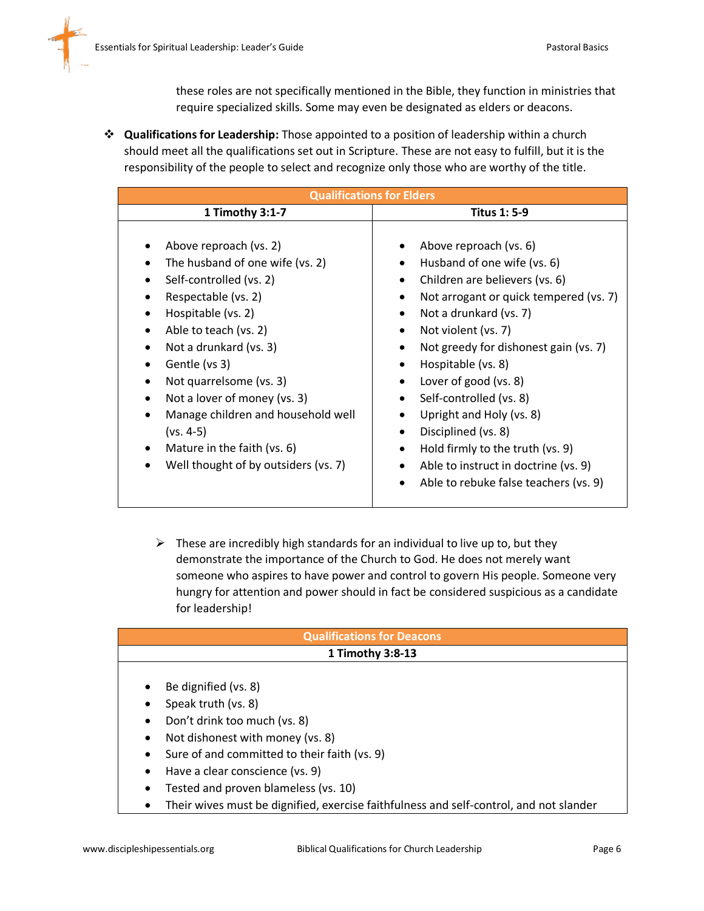these roles are not specifically mentioned in the Bible, they function in ministries that require specialized skills. Some may even be designated as elders or deacons.

❖ **Qualifications for Leadership:** Those appointed to a position of leadership within a church should meet all the qualifications set out in Scripture. These are not easy to fulfill, but it is the responsibility of the people to select and recognize only those who are worthy of the title.

| <b>Qualifications for Elders</b>                                                                                                                                                                                                                                                                                                                                                             |                                                                                                                                                                                                                                                                                                                                                                                                                                                                                                         |  |
|----------------------------------------------------------------------------------------------------------------------------------------------------------------------------------------------------------------------------------------------------------------------------------------------------------------------------------------------------------------------------------------------|---------------------------------------------------------------------------------------------------------------------------------------------------------------------------------------------------------------------------------------------------------------------------------------------------------------------------------------------------------------------------------------------------------------------------------------------------------------------------------------------------------|--|
| 1 Timothy 3:1-7                                                                                                                                                                                                                                                                                                                                                                              | <b>Titus 1: 5-9</b>                                                                                                                                                                                                                                                                                                                                                                                                                                                                                     |  |
| Above reproach (vs. 2)<br>The husband of one wife (vs. 2)<br>Self-controlled (vs. 2)<br>Respectable (vs. 2)<br>Hospitable (vs. 2)<br>Able to teach (vs. 2)<br>Not a drunkard (vs. 3)<br>Gentle (vs 3)<br>Not quarrelsome (vs. 3)<br>Not a lover of money (vs. 3)<br>Manage children and household well<br>$(vs. 4-5)$<br>Mature in the faith (vs. 6)<br>Well thought of by outsiders (vs. 7) | Above reproach (vs. 6)<br>Husband of one wife (vs. 6)<br>Children are believers (vs. 6)<br>$\bullet$<br>Not arrogant or quick tempered (vs. 7)<br>Not a drunkard (vs. 7)<br>Not violent (vs. 7)<br>$\bullet$<br>Not greedy for dishonest gain (vs. 7)<br>Hospitable (vs. 8)<br>Lover of good (vs. 8)<br>Self-controlled (vs. 8)<br>Upright and Holy (vs. 8)<br>Disciplined (vs. 8)<br>Hold firmly to the truth (vs. 9)<br>Able to instruct in doctrine (vs. 9)<br>Able to rebuke false teachers (vs. 9) |  |

 $\triangleright$  These are incredibly high standards for an individual to live up to, but they demonstrate the importance of the Church to God. He does not merely want someone who aspires to have power and control to govern His people. Someone very hungry for attention and power should in fact be considered suspicious as a candidate for leadership!

| <b>Qualifications for Deacons</b>     |                                                                                        |
|---------------------------------------|----------------------------------------------------------------------------------------|
| 1 Timothy 3:8-13                      |                                                                                        |
|                                       |                                                                                        |
| $\bullet$                             | Be dignified (vs. 8)                                                                   |
|                                       | Speak truth (vs. 8)                                                                    |
| $\bullet$                             | Don't drink too much (vs. 8)                                                           |
| Not dishonest with money (vs. 8)<br>٠ |                                                                                        |
| $\bullet$                             | Sure of and committed to their faith (vs. 9)                                           |
| $\bullet$                             | Have a clear conscience (vs. 9)                                                        |
| ٠                                     | Tested and proven blameless (vs. 10)                                                   |
| ٠                                     | Their wives must be dignified, exercise faithfulness and self-control, and not slander |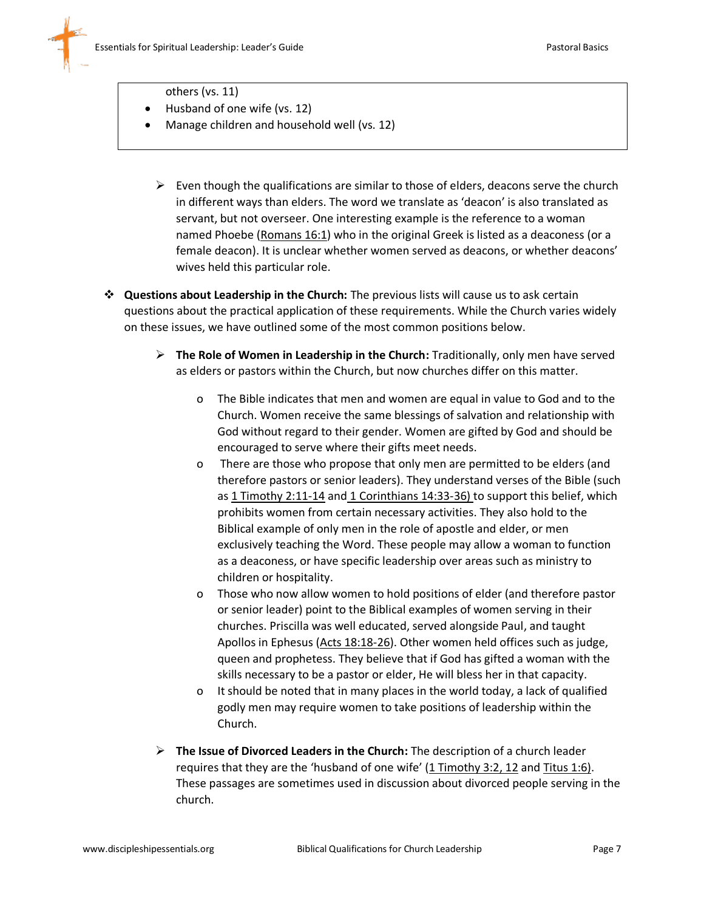

- others (vs. 11)
- Husband of one wife (vs. 12)
- Manage children and household well (vs. 12)
	- $\triangleright$  Even though the qualifications are similar to those of elders, deacons serve the church in different ways than elders. The word we translate as 'deacon' is also translated as servant, but not overseer. One interesting example is the reference to a woman named Phoebe (Romans 16:1) who in the original Greek is listed as a deaconess (or a female deacon). It is unclear whether women served as deacons, or whether deacons' wives held this particular role.
- ❖ **Questions about Leadership in the Church:** The previous lists will cause us to ask certain questions about the practical application of these requirements. While the Church varies widely on these issues, we have outlined some of the most common positions below.
	- ➢ **The Role of Women in Leadership in the Church:** Traditionally, only men have served as elders or pastors within the Church, but now churches differ on this matter.
		- o The Bible indicates that men and women are equal in value to God and to the Church. Women receive the same blessings of salvation and relationship with God without regard to their gender. Women are gifted by God and should be encouraged to serve where their gifts meet needs.
		- o There are those who propose that only men are permitted to be elders (and therefore pastors or senior leaders). They understand verses of the Bible (such as 1 Timothy 2:11-14 and 1 Corinthians 14:33-36) to support this belief, which prohibits women from certain necessary activities. They also hold to the Biblical example of only men in the role of apostle and elder, or men exclusively teaching the Word. These people may allow a woman to function as a deaconess, or have specific leadership over areas such as ministry to children or hospitality.
		- o Those who now allow women to hold positions of elder (and therefore pastor or senior leader) point to the Biblical examples of women serving in their churches. Priscilla was well educated, served alongside Paul, and taught Apollos in Ephesus (Acts 18:18-26). Other women held offices such as judge, queen and prophetess. They believe that if God has gifted a woman with the skills necessary to be a pastor or elder, He will bless her in that capacity.
		- o It should be noted that in many places in the world today, a lack of qualified godly men may require women to take positions of leadership within the Church.
	- ➢ **The Issue of Divorced Leaders in the Church:** The description of a church leader requires that they are the 'husband of one wife' (1 Timothy 3:2, 12 and Titus 1:6). These passages are sometimes used in discussion about divorced people serving in the church.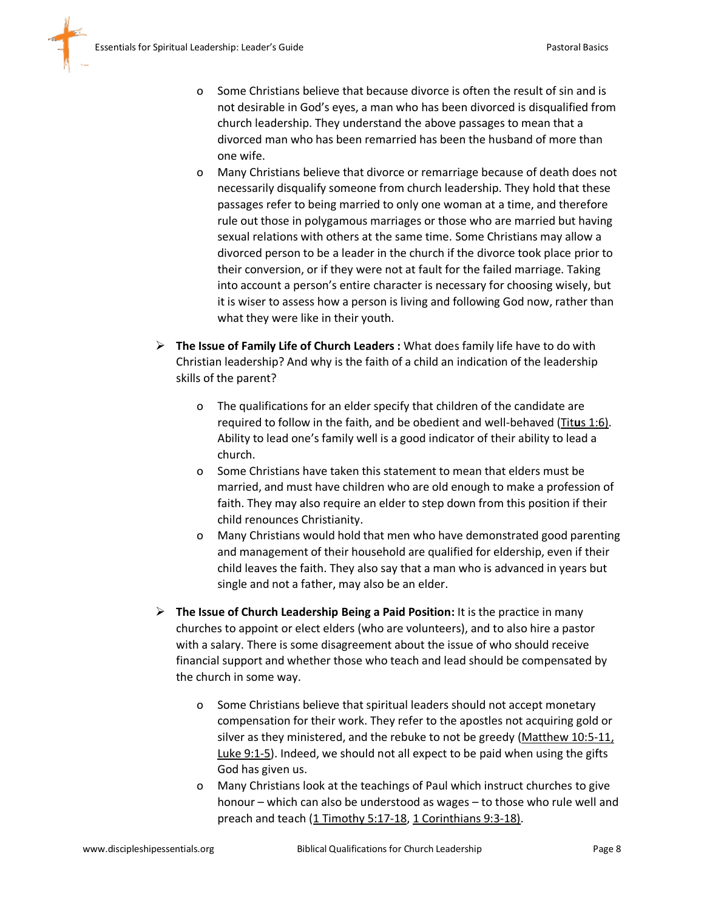- o Some Christians believe that because divorce is often the result of sin and is not desirable in God's eyes, a man who has been divorced is disqualified from church leadership. They understand the above passages to mean that a divorced man who has been remarried has been the husband of more than one wife.
- o Many Christians believe that divorce or remarriage because of death does not necessarily disqualify someone from church leadership. They hold that these passages refer to being married to only one woman at a time, and therefore rule out those in polygamous marriages or those who are married but having sexual relations with others at the same time. Some Christians may allow a divorced person to be a leader in the church if the divorce took place prior to their conversion, or if they were not at fault for the failed marriage. Taking into account a person's entire character is necessary for choosing wisely, but it is wiser to assess how a person is living and following God now, rather than what they were like in their youth.
- ➢ **The Issue of Family Life of Church Leaders :** What does family life have to do with Christian leadership? And why is the faith of a child an indication of the leadership skills of the parent?
	- o The qualifications for an elder specify that children of the candidate are required to follow in the faith, and be obedient and well-behaved (Tit**u**s 1:6). Ability to lead one's family well is a good indicator of their ability to lead a church.
	- o Some Christians have taken this statement to mean that elders must be married, and must have children who are old enough to make a profession of faith. They may also require an elder to step down from this position if their child renounces Christianity.
	- o Many Christians would hold that men who have demonstrated good parenting and management of their household are qualified for eldership, even if their child leaves the faith. They also say that a man who is advanced in years but single and not a father, may also be an elder.
- ➢ **The Issue of Church Leadership Being a Paid Position:** It is the practice in many churches to appoint or elect elders (who are volunteers), and to also hire a pastor with a salary. There is some disagreement about the issue of who should receive financial support and whether those who teach and lead should be compensated by the church in some way.
	- o Some Christians believe that spiritual leaders should not accept monetary compensation for their work. They refer to the apostles not acquiring gold or silver as they ministered, and the rebuke to not be greedy (Matthew 10:5-11, Luke 9:1-5). Indeed, we should not all expect to be paid when using the gifts God has given us.
	- o Many Christians look at the teachings of Paul which instruct churches to give honour – which can also be understood as wages – to those who rule well and preach and teach (1 Timothy 5:17-18, 1 Corinthians 9:3-18).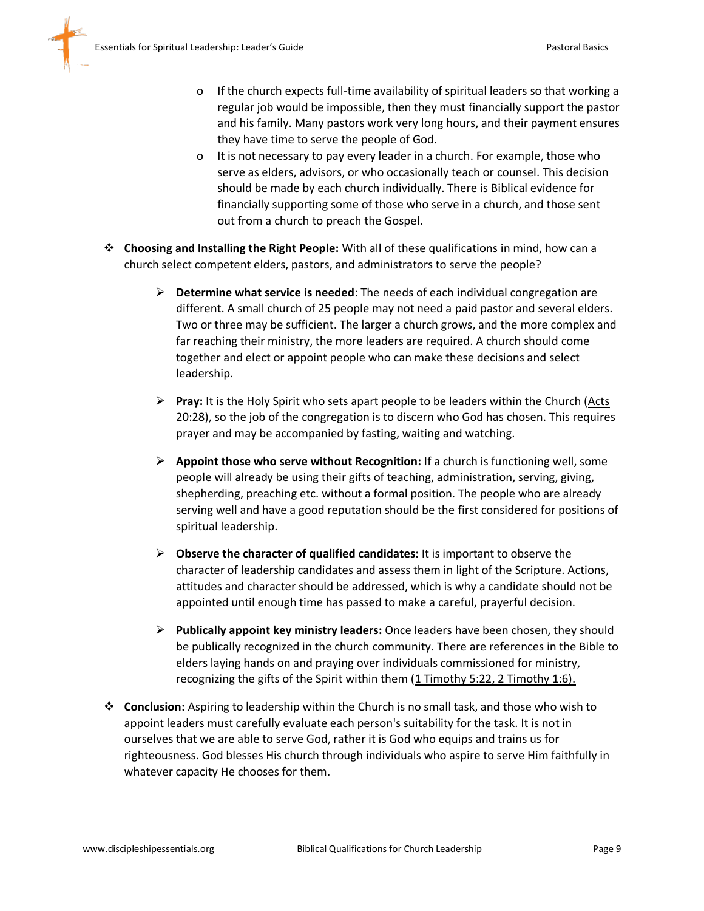- o If the church expects full-time availability of spiritual leaders so that working a regular job would be impossible, then they must financially support the pastor and his family. Many pastors work very long hours, and their payment ensures they have time to serve the people of God.
- o It is not necessary to pay every leader in a church. For example, those who serve as elders, advisors, or who occasionally teach or counsel. This decision should be made by each church individually. There is Biblical evidence for financially supporting some of those who serve in a church, and those sent out from a church to preach the Gospel.
- ❖ **Choosing and Installing the Right People:** With all of these qualifications in mind, how can a church select competent elders, pastors, and administrators to serve the people?
	- ➢ **Determine what service is needed**: The needs of each individual congregation are different. A small church of 25 people may not need a paid pastor and several elders. Two or three may be sufficient. The larger a church grows, and the more complex and far reaching their ministry, the more leaders are required. A church should come together and elect or appoint people who can make these decisions and select leadership.
	- ➢ **Pray:** It is the Holy Spirit who sets apart people to be leaders within the Church (Acts 20:28), so the job of the congregation is to discern who God has chosen. This requires prayer and may be accompanied by fasting, waiting and watching.
	- ➢ **Appoint those who serve without Recognition:** If a church is functioning well, some people will already be using their gifts of teaching, administration, serving, giving, shepherding, preaching etc. without a formal position. The people who are already serving well and have a good reputation should be the first considered for positions of spiritual leadership.
	- ➢ **Observe the character of qualified candidates:** It is important to observe the character of leadership candidates and assess them in light of the Scripture. Actions, attitudes and character should be addressed, which is why a candidate should not be appointed until enough time has passed to make a careful, prayerful decision.
	- ➢ **Publically appoint key ministry leaders:** Once leaders have been chosen, they should be publically recognized in the church community. There are references in the Bible to elders laying hands on and praying over individuals commissioned for ministry, recognizing the gifts of the Spirit within them (1 Timothy 5:22, 2 Timothy 1:6).
- ❖ **Conclusion:** Aspiring to leadership within the Church is no small task, and those who wish to appoint leaders must carefully evaluate each person's suitability for the task. It is not in ourselves that we are able to serve God, rather it is God who equips and trains us for righteousness. God blesses His church through individuals who aspire to serve Him faithfully in whatever capacity He chooses for them.